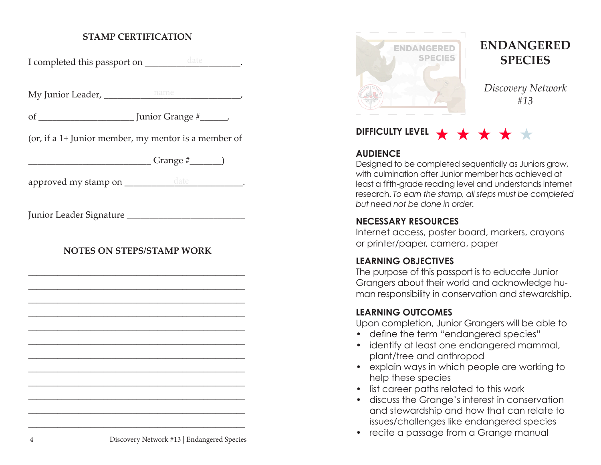#### **STAMP CERTIFICATION**

I completed this passport on \_\_\_\_\_\_\_\_\_\_\_\_\_\_\_\_\_\_\_\_\_\_\_.

My Junior Leader, \_\_\_\_\_\_\_\_\_\_\_\_\_\_\_\_\_\_\_\_\_\_\_\_\_\_\_\_\_\_, name

of \_\_\_\_\_\_\_\_\_\_\_\_\_\_\_\_\_\_\_\_\_ Junior Grange #\_\_\_\_\_\_,

(or, if a 1+ Junior member, my mentor is a member of

 $Grange \#$  (and  $\qquad \qquad$  )

approved my stamp on \_\_\_\_\_\_\_\_\_\_\_\_\_\_\_\_\_\_\_\_\_\_\_\_\_\_\_\_\_\_\_\_\_\_.

Junior Leader Signature \_\_\_\_\_\_\_\_\_\_\_\_\_\_\_\_\_\_\_\_\_\_\_\_\_\_

### **NOTES ON STEPS/STAMP WORK**



# **ENDANGERED SPECIES**

*Discovery Network #13*

# **DIFFICULTY LEVEL**

#### **AUDIENCE**

Designed to be completed sequentially as Juniors grow, with culmination after Junior member has achieved at least a fifth-grade reading level and understands internet research. *To earn the stamp, all steps must be completed but need not be done in order.*

#### **NECESSARY RESOURCES**

Internet access, poster board, markers, crayons or printer/paper, camera, paper

#### **LEARNING OBJECTIVES**

The purpose of this passport is to educate Junior Grangers about their world and acknowledge human responsibility in conservation and stewardship.

#### **LEARNING OUTCOMES**

Upon completion, Junior Grangers will be able to

- define the term "endangered species"
- identify at least one endangered mammal, plant/tree and anthropod
- explain ways in which people are working to help these species
- list career paths related to this work
- discuss the Grange's interest in conservation and stewardship and how that can relate to issues/challenges like endangered species
- recite a passage from a Grange manual 4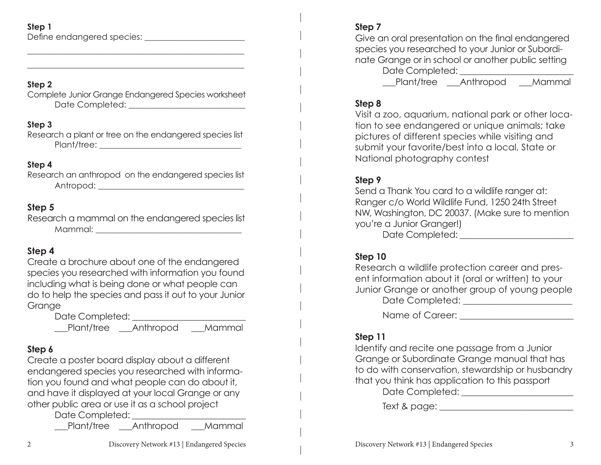## **Step 1**

Define endangered species: \_\_\_\_\_\_\_\_\_\_\_\_\_\_\_\_\_\_\_\_\_\_\_\_

### **Step 2**

Complete Junior Grange Endangered Species worksheet Date Completed: \_\_\_\_\_\_\_\_\_\_\_\_\_\_\_\_\_\_\_\_\_\_\_\_\_\_\_\_

\_\_\_\_\_\_\_\_\_\_\_\_\_\_\_\_\_\_\_\_\_\_\_\_\_\_\_\_\_\_\_\_\_\_\_\_\_\_\_\_\_\_\_\_\_\_\_\_\_\_\_\_ \_\_\_\_\_\_\_\_\_\_\_\_\_\_\_\_\_\_\_\_\_\_\_\_\_\_\_\_\_\_\_\_\_\_\_\_\_\_\_\_\_\_\_\_\_\_\_\_\_\_\_\_

### **Step 3**

Research a plant or tree on the endangered species list Plant/tree: \_\_\_\_\_\_\_\_\_\_\_\_\_\_\_\_\_\_\_\_\_\_\_\_\_\_\_\_\_\_\_\_\_\_

## **Step 4**

Research an anthropod on the endangered species list Antropod: \_\_\_\_\_\_\_\_\_\_\_\_\_\_\_\_\_\_\_\_\_\_\_\_\_\_\_\_\_\_\_\_\_\_\_

## **Step 5**

Research a mammal on the endangered species list Mammal:  $\blacksquare$ 

## **Step 4**

Create a brochure about one of the endangered species you researched with information you found including what is being done or what people can do to help the species and pass it out to your Junior **Grange** 

> Date Completed: \_\_\_\_\_\_\_\_\_\_\_\_\_\_\_\_\_\_\_\_\_\_\_\_\_\_ \_\_\_Plant/tree \_\_\_Anthropod \_\_\_Mammal

# **Step 6**

Create a poster board display about a different endangered species you researched with information you found and what people can do about it, and have it displayed at your local Grange or any other public area or use it as a school project

Date Completed:

\_\_\_Plant/tree \_\_\_Anthropod \_\_\_Mammal

## **Step 7**

Give an oral presentation on the final endangered species you researched to your Junior or Subordinate Grange or in school or another public setting Date Completed: \_\_\_\_\_\_\_\_\_\_\_\_\_\_\_\_\_\_\_\_\_\_\_\_\_\_

\_\_\_Plant/tree \_\_\_Anthropod \_\_\_Mammal

## **Step 8**

Visit a zoo, aquarium, national park or other location to see endangered or unique animals; take pictures of different species while visiting and submit your favorite/best into a local, State or National photography contest

## **Step 9**

Send a Thank You card to a wildlife ranger at: Ranger c/o World Wildlife Fund, 1250 24th Street NW, Washington, DC 20037. (Make sure to mention you're a Junior Granger!) Date Completed:

## **Step 10**

| Research a wildlife protection career and pres-    |
|----------------------------------------------------|
| ent information about it (oral or written) to your |
| Junior Grange or another group of young people     |
| Date Completed:                                    |
|                                                    |

Name of Career:

## **Step 11**

Identify and recite one passage from a Junior Grange or Subordinate Grange manual that has to do with conservation, stewardship or husbandry that you think has application to this passport Date Completed: \_\_\_\_\_\_\_\_\_\_\_\_\_\_\_\_\_\_\_\_\_\_\_\_\_

Text & page: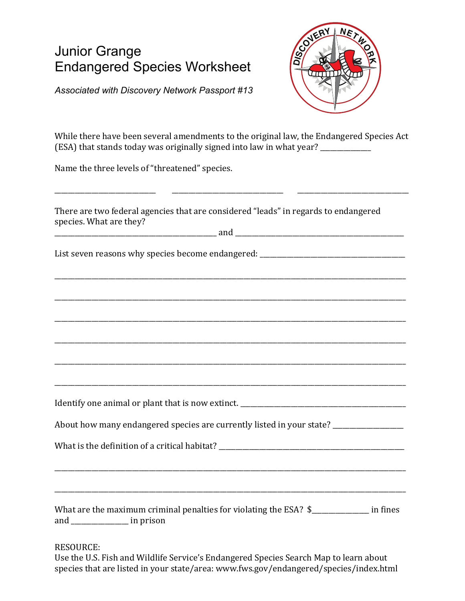# Junior Grange Endangered Species Worksheet



*Associated with Discovery Network Passport #13*

While there have been several amendments to the original law, the Endangered Species Act (ESA) that stands today was originally signed into law in what year?  $\frac{1}{\sqrt{1-\frac{1}{\sqrt{1-\frac{1}{\sqrt{1-\frac{1}{\sqrt{1-\frac{1}{\sqrt{1-\frac{1}{\sqrt{1-\frac{1}{\sqrt{1-\frac{1}{\sqrt{1-\frac{1}{\sqrt{1-\frac{1}{\sqrt{1-\frac{1}{\sqrt{1-\frac{1}{\sqrt{1-\frac{1}{\sqrt{1-\frac{1}{\sqrt{1-\frac{1}{\sqrt{1-\frac{1}{\sqrt{1-\frac{1}{\sqrt$ 

Name the three levels of "threatened" species.

| There are two federal agencies that are considered "leads" in regards to endangered<br>species. What are they?               |
|------------------------------------------------------------------------------------------------------------------------------|
| List seven reasons why species become endangered: ______________________________                                             |
|                                                                                                                              |
|                                                                                                                              |
| ,我们也不会有什么。""我们的人,我们也不会有什么?""我们的人,我们也不会有什么?""我们的人,我们也不会有什么?""我们的人,我们也不会有什么?""我们的人                                             |
|                                                                                                                              |
|                                                                                                                              |
| About how many endangered species are currently listed in your state? _________________                                      |
|                                                                                                                              |
|                                                                                                                              |
| What are the maximum criminal penalties for violating the ESA? \$______________ in fines<br>and __________________ in prison |

RESOURCE: 

Use the U.S. Fish and Wildlife Service's Endangered Species Search Map to learn about species that are listed in your state/area: www.fws.gov/endangered/species/index.html